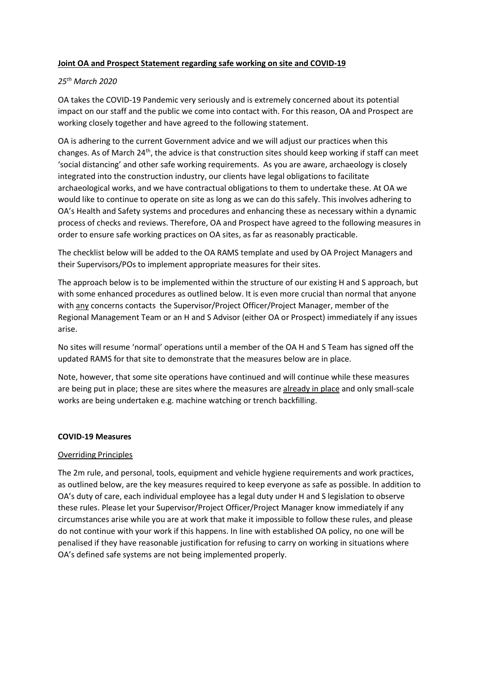# Joint OA and Prospect Statement regarding safe working on site and COVID-19

## 25th March 2020

OA takes the COVID-19 Pandemic very seriously and is extremely concerned about its potential impact on our staff and the public we come into contact with. For this reason, OA and Prospect are working closely together and have agreed to the following statement.

OA is adhering to the current Government advice and we will adjust our practices when this changes. As of March 24<sup>th</sup>, the advice is that construction sites should keep working if staff can meet 'social distancing' and other safe working requirements. As you are aware, archaeology is closely integrated into the construction industry, our clients have legal obligations to facilitate archaeological works, and we have contractual obligations to them to undertake these. At OA we would like to continue to operate on site as long as we can do this safely. This involves adhering to OA's Health and Safety systems and procedures and enhancing these as necessary within a dynamic process of checks and reviews. Therefore, OA and Prospect have agreed to the following measures in order to ensure safe working practices on OA sites, as far as reasonably practicable.

The checklist below will be added to the OA RAMS template and used by OA Project Managers and their Supervisors/POs to implement appropriate measures for their sites.

The approach below is to be implemented within the structure of our existing H and S approach, but with some enhanced procedures as outlined below. It is even more crucial than normal that anyone with any concerns contacts the Supervisor/Project Officer/Project Manager, member of the Regional Management Team or an H and S Advisor (either OA or Prospect) immediately if any issues arise.

No sites will resume 'normal' operations until a member of the OA H and S Team has signed off the updated RAMS for that site to demonstrate that the measures below are in place.

Note, however, that some site operations have continued and will continue while these measures are being put in place; these are sites where the measures are already in place and only small-scale works are being undertaken e.g. machine watching or trench backfilling.

### COVID-19 Measures

### Overriding Principles

The 2m rule, and personal, tools, equipment and vehicle hygiene requirements and work practices, as outlined below, are the key measures required to keep everyone as safe as possible. In addition to OA's duty of care, each individual employee has a legal duty under H and S legislation to observe these rules. Please let your Supervisor/Project Officer/Project Manager know immediately if any circumstances arise while you are at work that make it impossible to follow these rules, and please do not continue with your work if this happens. In line with established OA policy, no one will be penalised if they have reasonable justification for refusing to carry on working in situations where OA's defined safe systems are not being implemented properly.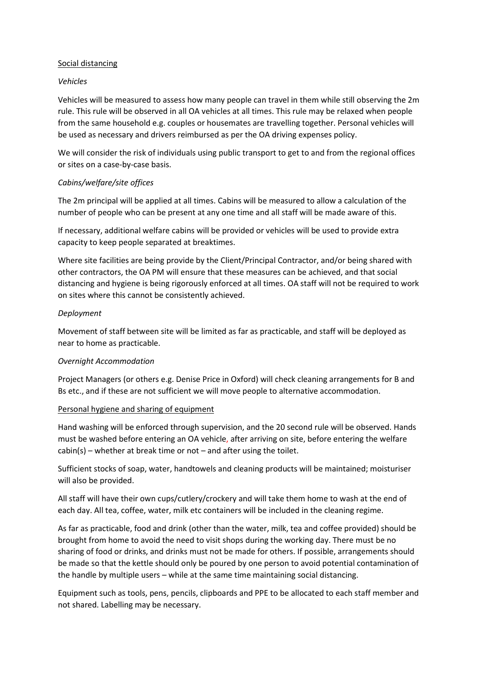### Social distancing

## Vehicles

Vehicles will be measured to assess how many people can travel in them while still observing the 2m rule. This rule will be observed in all OA vehicles at all times. This rule may be relaxed when people from the same household e.g. couples or housemates are travelling together. Personal vehicles will be used as necessary and drivers reimbursed as per the OA driving expenses policy.

We will consider the risk of individuals using public transport to get to and from the regional offices or sites on a case-by-case basis.

# Cabins/welfare/site offices

The 2m principal will be applied at all times. Cabins will be measured to allow a calculation of the number of people who can be present at any one time and all staff will be made aware of this.

If necessary, additional welfare cabins will be provided or vehicles will be used to provide extra capacity to keep people separated at breaktimes.

Where site facilities are being provide by the Client/Principal Contractor, and/or being shared with other contractors, the OA PM will ensure that these measures can be achieved, and that social distancing and hygiene is being rigorously enforced at all times. OA staff will not be required to work on sites where this cannot be consistently achieved.

# Deployment

Movement of staff between site will be limited as far as practicable, and staff will be deployed as near to home as practicable.

# Overnight Accommodation

Project Managers (or others e.g. Denise Price in Oxford) will check cleaning arrangements for B and Bs etc., and if these are not sufficient we will move people to alternative accommodation.

# Personal hygiene and sharing of equipment

Hand washing will be enforced through supervision, and the 20 second rule will be observed. Hands must be washed before entering an OA vehicle, after arriving on site, before entering the welfare  $cabin(s)$  – whether at break time or not – and after using the toilet.

Sufficient stocks of soap, water, handtowels and cleaning products will be maintained; moisturiser will also be provided.

All staff will have their own cups/cutlery/crockery and will take them home to wash at the end of each day. All tea, coffee, water, milk etc containers will be included in the cleaning regime.

As far as practicable, food and drink (other than the water, milk, tea and coffee provided) should be brought from home to avoid the need to visit shops during the working day. There must be no sharing of food or drinks, and drinks must not be made for others. If possible, arrangements should be made so that the kettle should only be poured by one person to avoid potential contamination of the handle by multiple users – while at the same time maintaining social distancing.

Equipment such as tools, pens, pencils, clipboards and PPE to be allocated to each staff member and not shared. Labelling may be necessary.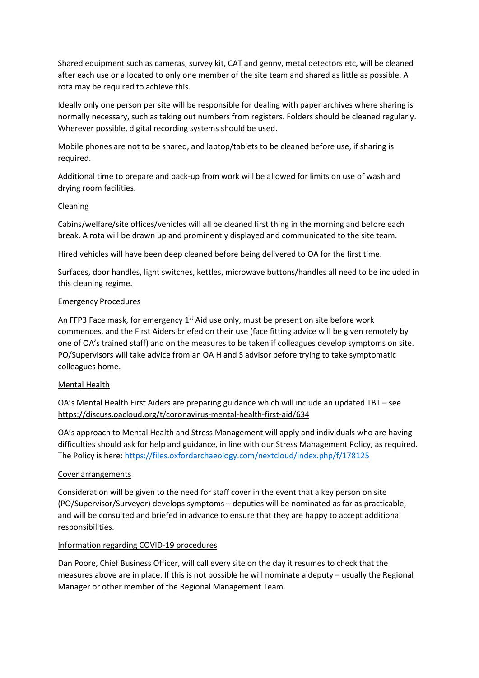Shared equipment such as cameras, survey kit, CAT and genny, metal detectors etc, will be cleaned after each use or allocated to only one member of the site team and shared as little as possible. A rota may be required to achieve this.

Ideally only one person per site will be responsible for dealing with paper archives where sharing is normally necessary, such as taking out numbers from registers. Folders should be cleaned regularly. Wherever possible, digital recording systems should be used.

Mobile phones are not to be shared, and laptop/tablets to be cleaned before use, if sharing is required.

Additional time to prepare and pack-up from work will be allowed for limits on use of wash and drying room facilities.

### Cleaning

Cabins/welfare/site offices/vehicles will all be cleaned first thing in the morning and before each break. A rota will be drawn up and prominently displayed and communicated to the site team.

Hired vehicles will have been deep cleaned before being delivered to OA for the first time.

Surfaces, door handles, light switches, kettles, microwave buttons/handles all need to be included in this cleaning regime.

### Emergency Procedures

An FFP3 Face mask, for emergency  $1^{st}$  Aid use only, must be present on site before work commences, and the First Aiders briefed on their use (face fitting advice will be given remotely by one of OA's trained staff) and on the measures to be taken if colleagues develop symptoms on site. PO/Supervisors will take advice from an OA H and S advisor before trying to take symptomatic colleagues home.

### Mental Health

OA's Mental Health First Aiders are preparing guidance which will include an updated TBT – see https://discuss.oacloud.org/t/coronavirus-mental-health-first-aid/634

OA's approach to Mental Health and Stress Management will apply and individuals who are having difficulties should ask for help and guidance, in line with our Stress Management Policy, as required. The Policy is here: https://files.oxfordarchaeology.com/nextcloud/index.php/f/178125

### Cover arrangements

Consideration will be given to the need for staff cover in the event that a key person on site (PO/Supervisor/Surveyor) develops symptoms – deputies will be nominated as far as practicable, and will be consulted and briefed in advance to ensure that they are happy to accept additional responsibilities.

### Information regarding COVID-19 procedures

Dan Poore, Chief Business Officer, will call every site on the day it resumes to check that the measures above are in place. If this is not possible he will nominate a deputy – usually the Regional Manager or other member of the Regional Management Team.